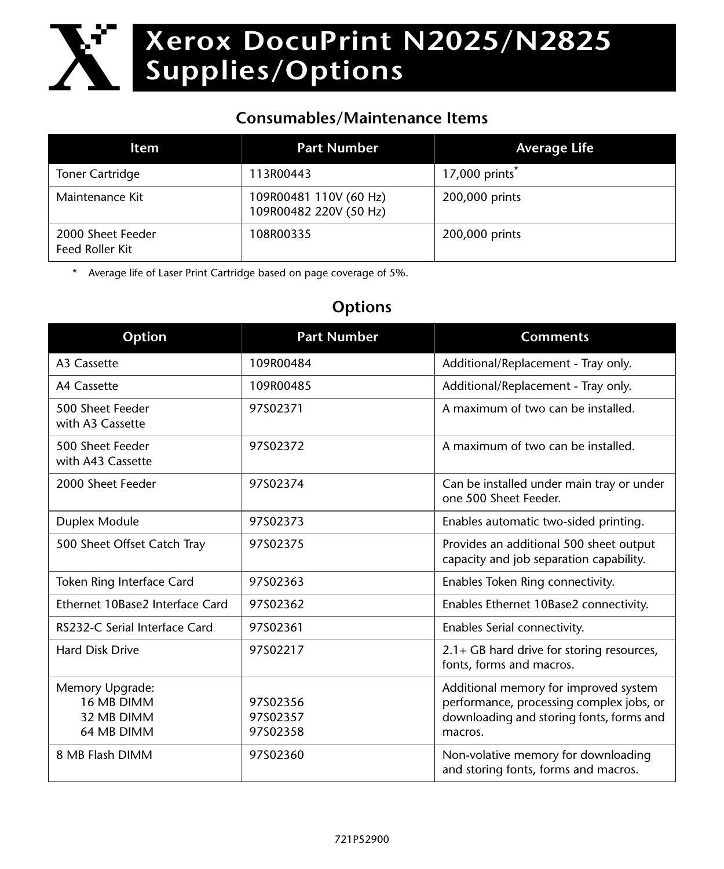## **Xerox DocuPrint N2025/N2825 Supplies/Options**  $\mathbf{X}$

## **Consumables/Maintenance Items**

| Item                                 | <b>Part Number</b>                               | <b>Average Life</b>        |
|--------------------------------------|--------------------------------------------------|----------------------------|
| <b>Toner Cartridge</b>               | 113R00443                                        | 17,000 prints <sup>*</sup> |
| Maintenance Kit                      | 109R00481 110V (60 Hz)<br>109R00482 220V (50 Hz) | 200,000 prints             |
| 2000 Sheet Feeder<br>Feed Roller Kit | 108R00335                                        | 200,000 prints             |

\* Average life of Laser Print Cartridge based on page coverage of 5%.

## **Options**

| <b>Option</b>                                             | <b>Part Number</b>               | <b>Comments</b>                                                                                                                          |
|-----------------------------------------------------------|----------------------------------|------------------------------------------------------------------------------------------------------------------------------------------|
| A3 Cassette                                               | 109R00484                        | Additional/Replacement - Tray only.                                                                                                      |
| A4 Cassette                                               | 109R00485                        | Additional/Replacement - Tray only.                                                                                                      |
| 500 Sheet Feeder<br>with A3 Cassette                      | 97S02371                         | A maximum of two can be installed.                                                                                                       |
| 500 Sheet Feeder<br>with A43 Cassette                     | 97S02372                         | A maximum of two can be installed.                                                                                                       |
| 2000 Sheet Feeder                                         | 97S02374                         | Can be installed under main tray or under<br>one 500 Sheet Feeder.                                                                       |
| Duplex Module                                             | 97S02373                         | Enables automatic two-sided printing.                                                                                                    |
| 500 Sheet Offset Catch Tray                               | 97S02375                         | Provides an additional 500 sheet output<br>capacity and job separation capability.                                                       |
| Token Ring Interface Card                                 | 97S02363                         | Enables Token Ring connectivity.                                                                                                         |
| Ethernet 10Base2 Interface Card                           | 97S02362                         | Enables Ethernet 10Base2 connectivity.                                                                                                   |
| RS232-C Serial Interface Card                             | 97S02361                         | Enables Serial connectivity.                                                                                                             |
| <b>Hard Disk Drive</b>                                    | 97S02217                         | 2.1+ GB hard drive for storing resources,<br>fonts, forms and macros.                                                                    |
| Memory Upgrade:<br>16 MB DIMM<br>32 MB DIMM<br>64 MB DIMM | 97S02356<br>97S02357<br>97S02358 | Additional memory for improved system<br>performance, processing complex jobs, or<br>downloading and storing fonts, forms and<br>macros. |
| 8 MB Flash DIMM                                           | 97S02360                         | Non-volative memory for downloading<br>and storing fonts, forms and macros.                                                              |